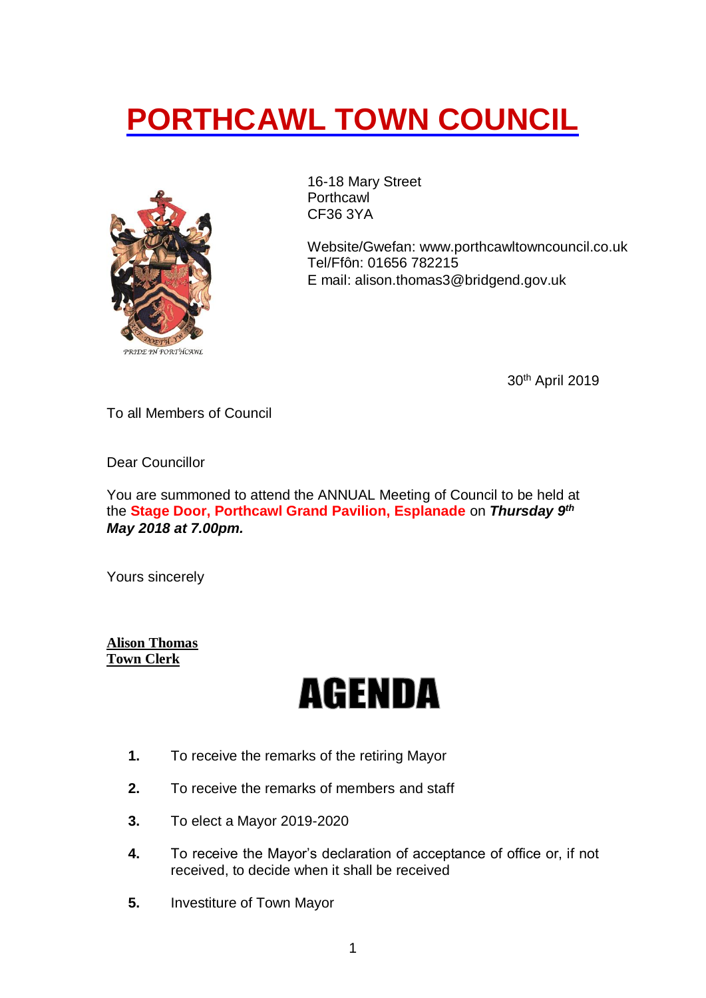## **PORTHCAWL TOWN COUNCIL**



16-18 Mary Street Porthcawl CF36 3YA

Website/Gwefan: [www.porthcawltowncouncil.co.uk](http://www.porthcawltowncouncil.co.uk/) Tel/Ffôn: 01656 782215 E mail: alison.thomas3@bridgend.gov.uk

30th April 2019

To all Members of Council

Dear Councillor

You are summoned to attend the ANNUAL Meeting of Council to be held at the **Stage Door, Porthcawl Grand Pavilion, Esplanade** on *Thursday 9 th May 2018 at 7.00pm.*

Yours sincerely

**Alison Thomas Town Clerk**

## **AGENDA**

- **1.** To receive the remarks of the retiring Mayor
- **2.** To receive the remarks of members and staff
- **3.** To elect a Mayor 2019-2020
- **4.** To receive the Mayor's declaration of acceptance of office or, if not received, to decide when it shall be received
- **5.** Investiture of Town Mayor